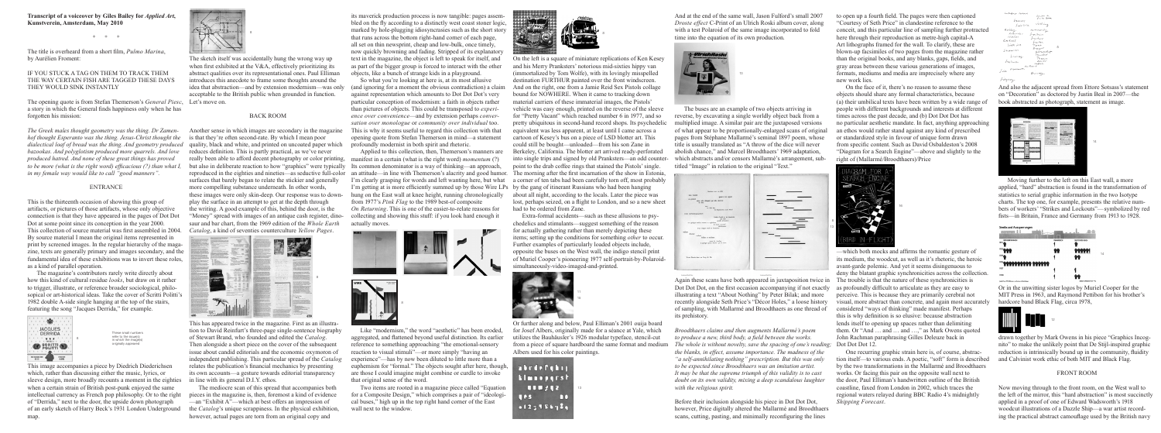**Transcript of a voiceover by Giles Bailey for** *Applied Art***, Kunstverein, Amsterdam, May 2010**

 $*$  \* \*

The title is overheard from a short film, *Pulmo Marina*, by Aurélien Froment:

### If you stuck a tag on them to track them the way certain fish are tagged these days they would sink instantly

The opening quote is from Stefan Themerson's *General Piesc*, Let's move on. a story in which the General finds happiness only when he has forgotten his mission:



# ENTRANCE

This is the thirteenth occasion of showing this group of artifacts, or pictures of those artifacts, whose only objective connection is that they have appeared in the pages of Dot Dot Dot at some point since its conception in the year 2000. This collection of source material was first assembled in 2004. By source material I mean the original items represented in print by screened images. In the regular hierarchy of the magazine, texts are generally primary and images secondary, and the fundamental idea of these exhibitions was to invert these roles, as a kind of parallel operation.

 The magazine's contributors rarely write directly about how this kind of cultural residue *looks*, but draw on it rather to trigger, illustrate, or reference broader sociological, philosopical or art-historical ideas. Take the cover of Scritti Politti's 1982 double A-side single hanging at the top of the stairs, featuring the song "Jacques Derrida," for example.

This image accompanies a piece by Diedrich Diederichsen which, rather than discussing either the music, lyrics, or sleeve design, more broadly recounts a moment in the eighties when a certain strain of British post-punk enjoyed the same intellectual currency as French pop philosophy. Or to the right of "Derrida," next to the door, the upside down photograph of an early sketch of Harry Beck's 1931 London Underground map.

The sketch itself was accidentally hung the wrong way up when first exhibited at the V&A, effectively prioritizing its abstract qualities over its representational ones. Paul Elliman introduces this anecdote to frame some thoughts around the idea that abstraction—and by extension modernism—was only acceptable to the British public when grounded in function.

#### BACK ROOM

Another sense in which images are secondary in the magazine is that they're often second-rate. By which I mean poor reduces definition. This is partly practical, as we've never really been able to afford decent photography or color printing, but also in deliberate reaction to how "graphics" were typically Its common denominator is a way of thinking—an approach, reproduced in the eighties and nineties—as seductive full-color surfaces that barely began to relate the stickier and generally more compelling substance underneath. In other words, these images were only skin-deep. Our response was to downplay the surface in an attempt to get at the depth through the writing. A good example of this, behind the door, is the "Money" spread with images of an antique cash register, dinosaur and bar chart, from the 1969 edition of the *Whole Earth Catalog*, a kind of seventies counterculture *Yellow Pages*.

This has appeared twice in the magazine. First as an illustration to David Reinfurt's three-page single-sentence biography of Stewart Brand, who founded and edited the *Catalog*. Then alongside a short piece on the cover of the subsequent issue about candid editorials and the economic oxymoron of independent publishing. This particular spread of the *Catalog* relates the publication's financial mechanics by presenting its own accounts—a gesture towards editorial transparency in line with its general D.I.Y. ethos.

 The mediocre scan of this spread that accompanies both pieces in the magazine is, then, foremost a kind of evidence —an "Exhibit A"—which at best offers an impression of the *Catalog*'s unique scrappiness. In the physical exhibition, however, actual pages are torn from an original copy and

its maverick production process is now tangible: pages assembled on the fly according to a distinctly west coast stoner logic, marked by hole-plugging idiosyncrasies such as the short story that runs across the bottom right-hand corner of each page, all set on thin newsprint, cheap and low-bulk, once timely, now quickly browning and fading. Stripped of its explanatory text in the magazine, the object is left to speak for itself, and as part of the bigger group is forced to interact with the other objects, like a bunch of strange kids in a playground.

So what you're looking at here is, at its most allusive (and ignoring for a moment the obvious contradiction) a claim against representation which amounts to Dot Dot Dot's very particular conception of modernism: a faith in objects rather than pictures of objects. This could be transposed to *experience over convenience*—and by extension perhaps *conversation over monologue* or *community over individual* too. This is why it seems useful to regard this collection with that opening quote from Stefan Themerson in mind—a statement profoundly modernist in both spirit and rhetoric.

Applied to this collection, then, Themerson's manners are manifest in a certain (what is the right word) *momentum* (?) an attitude—in line with Themerson's alacrity and good humor. I'm clearly grasping for words and left wanting here, but what I'm getting at is more efficiently summed up by those Wire LPs by the gang of itinerant Russians who had been hanging hung on the East wall at knee height, running chronologically from 1977's *Pink Flag* to the 1989 best-of composite *On Returning*. This is one of the easier-to-relate reasons for collecting and showing this stuff: if you look hard enough it actually moves.



Like "modernism," the word "aesthetic" has been eroded, aggregated, and flattened beyond useful distinction. Its earlier reference to something approaching "the emotional-sensory reaction to visual stimuli"—or more simply "having an experience"—has by now been diluted to little more than a euphemism for "formal." The objects sought after here, though, are those I could imagine might combine or curdle to invoke

that original sense of the word.

 Two items are rooted in a magazine piece called "Equation for a Composite Design," which comprises a pair of "ideological buses," high up in the top right hand corner of the East

wall next to the window.





On the left is a square of miniature replications of Ken Kesey and his Merry Pranksters' notorious mid-sixties hippy van (immortalized by Tom Wolfe), with its lovingly misspelled destination FURTHUR painted over the front windscreen. And on the right, one from a Jamie Reid Sex Pistols collage bound for NOWHERE. When it came to tracking down material carriers of these immaterial images, the Pistols' vehicle was easy enough, printed on the reverse of the sleeve for "Pretty Vacant" which reached number 6 in 1977, and so pretty ubiquitous in second-hand record shops. Its psychedelic equivalent was less apparent, at least until I came across a cartoon of Kesey's bus on a piece of LSD blotter art. This could still be bought—unloaded—from his son Zane in Berkeley, California. The blotter art arrived ready-perforated into single trips and signed by old Pranksters—an odd counterpoint to the drab coffee rings that stained the Pistols' single. The morning after the first incarnation of the show in Estonia, a corner of ten tabs had been carefully torn off, most probably about all night, according to the locals. Later the piece was lost, perhaps seized, on a flight to London, and so a new sheet had to be ordered from Zane.

Extra-formal accidents—such as these allusions to psychedelics and stimulants—suggest something of the reason for actually gathering rather than merely depicting these items; setting up the conditions for something *other* to occur. Further examples of particularly loaded objects include, opposite the buses on the West wall, the indigo stencil print of Muriel Cooper's pioneering 1977 self-portrait-by-Polaroidsimultaneously-video-imaged-and-printed.

And at the end of the same wall, Jason Fulford's small 2007 *Droste effect* C-Print of an Ulrich Roski album cover, along with a test Polaroid of the same image incorporated to fold time into the equation of its own production.

The buses are an example of two objects arriving in reverse, by excavating a single worldly object back from a multiplied image. A similar pair are the juxtaposed versions of what appear to be proportionally-enlarged scans of original pages from Stéphane Mallarmé's seminal 1897 poem, whose title is usually translated as "A throw of the dice will never abolish chance," and Marcel Broodthaers' 1969 adaptation, which abstracts and/or censors Mallarmé's arrangement, subtitled "Image" in relation to the original "Text."

| fasionee avec au delà                                          |  |
|----------------------------------------------------------------|--|
| hors Tissiels                                                  |  |
| quent à lui signalé                                            |  |
| on général                                                     |  |
| selon telle obliquité par telle déclivité<br>de leur.          |  |
|                                                                |  |
| ses                                                            |  |
| ce doit buy                                                    |  |
| le Septencrion auni Nord                                       |  |
| <b>UNE CONSTELLATION</b>                                       |  |
| fraile d'oubli et de désattable                                |  |
| pas tont                                                       |  |
| qu'elle a'étamère<br>sur quelque surface vacante et supérieure |  |
| le heart successif                                             |  |
| sidéralement                                                   |  |
| d'un compte total en formation                                 |  |
| vollant                                                        |  |
| doutant                                                        |  |
| roulant.                                                       |  |
| bellast or soldinat                                            |  |
| avant de s'arsber                                              |  |
| à quelque point dernier qui le sacre                           |  |
|                                                                |  |
|                                                                |  |
|                                                                |  |
|                                                                |  |
| Toste Pensie émet un Coup de Dés                               |  |
|                                                                |  |
|                                                                |  |

Again these scans have both appeared in juxtaposition twice in The trouble is that the nature of these synchronicities is Dot Dot Dot, on the first occasion accompanying if not exactly illustrating a text "About Nothing" by Peter Bilak; and more recently alongside Seth Price's "Décor Holes," a loose history of sampling, with Mallarmé and Broodthaers as one thread of its prehistory.

Before their inclusion alongside his piece in Dot Dot Dot, however, Price digitally altered the Mallarmé and Broodthaers scans, cutting, pasting, and minimally reconfiguring the lines

to open up a fourth field. The pages were then captioned "Courtesy of Seth Price" in clandestine reference to the conceit, and this particular line of sampling further protracted here through their reproduction as metre-high capital-A Art lithographs framed for the wall. To clarify, these are blown-up facsimiles of two pages from the magazine rather than the original books, and any blanks, gaps, fields, and gray areas between these various generations of images, formats, mediums and media are imprecisely where any new work lies.

Or further along and below, Paul Elliman's 2001 ouija board for Josef Albers, originally made for a séance at Yale, which utilizes the Bauhäusler's 1926 modular typeface, stencil-cut from a piece of square hardboard the same format and medium Albers used for his color paintings. *Broodthaers claims and then augments Mallarmé's poem to produce a new, third body, a field between the works. The whole is without novelty, save the spacing of one's reading;*  Dot Dot Dot 12. *the blanks, in effect, assume importance. The madness of the "a self-annihilating nothing" prescription. But this was only to be expected since Broodthaers was an imitation artist. It may be that the supreme triumph of this validity is to cast*  doubt on its own validity, mixing a deep scandalous laughter *with the religious spirit.* 13

| abedefahij<br><b>klaneparst</b> |    |
|---------------------------------|----|
| 100242                          | 10 |
| <b>Les</b><br>m                 |    |
| $-123956720$                    |    |



On the face of it, there's no reason to assume these objects should share any formal characteristics, because (a) their umbilical texts have been written by a wide range of people with different backgrounds and interests at different times across the past decade, and (b) Dot Dot Dot has no particular aesthetic mandate. In fact, anything approaching an ethos would rather stand against any kind of prescribed or standardized style in favour of unique form drawn from specific content. Such as David Osbaldeston's 2008 "Diagram for a Search Engine"—above and slightly to the right of (Mallarmé/Broodthaers)/Price

—which both mocks and affirms the romantic gesture of its medium, the woodcut, as well as it's rhetoric, the heroic avant-garde polemic. And yet it seems disingenuous to deny the blatant graphic synchronicities across the collection. as profoundly difficult to articulate as they are easy to perceive. This is because they are primarily cerebral not visual, more abstract than concrete, and again most accurately considered "ways of thinking" made manifest. Perhaps this is why definition is so elusive: because abstraction lends itself to opening up spaces rather than delimiting them. Or "And … and … and …," as Mark Owens quoted John Rachman paraphrasing Gilles Deleuze back in

One recurring graphic strain here is, of course, abstraction itself—to various ends. A poetic, "soft" form is described by the two transformations in the Mallarmé and Broodthaers works. Or facing this pair on the opposite wall next to the door, Paul Elliman's handwritten outline of the British coastline, faxed from London in 2002, which traces the regional waters relayed during BBC Radio 4's midnightly *Shipping Forecast*.

And also the adjacent spread from Ettore Sotsass's statement on "Decoration" as doctored by Justin Beal in 2007—the book abstracted as photograph, statement as image.

Moving further to the left on this East wall, a more applied, "hard" abstraction is found in the transformation of statistics to serial graphic information in the two Isotype charts. The top one, for example, presents the relative numbers of workers' "Strikes and Lockouts"—symbolized by red fists—in Britain, France and Germany from 1913 to 1928.

Or in the unwitting sister logos by Muriel Cooper for the MIT Press in 1963, and Raymond Pettibon for his brother's hardcore band Black Flag, circa 1978,

drawn together by Mark Owens in his piece "Graphics Incognito" to make the unlikely point that De Stijl-inspired graphic reduction is intrinsically bound up in the community, fluidity and Calvinist work ethic of both MIT and Black Flag.

## FRONT ROOM

Now moving through to the front room, on the West wall to the left of the mirror, this "hard abstraction" is most succinctly applied in a proof of one of Edward Wadsworth's 1918 woodcut illustrations of a Dazzle Ship—a war artist recording the practical abstract camouflage used by the British navy





8



















These small numbers refer to the issue(s) in which the image(s) originally appeared